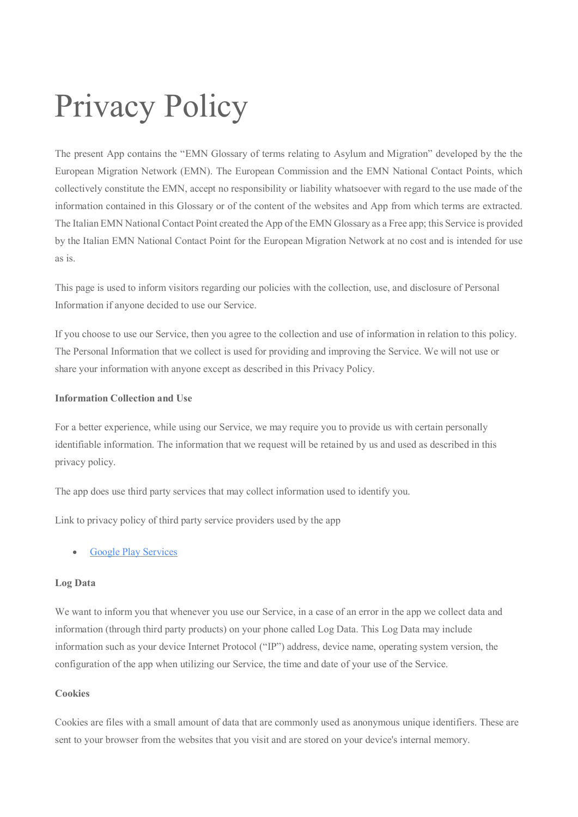# Privacy Policy

The present App contains the "EMN Glossary of terms relating to Asylum and Migration" developed by the the European Migration Network (EMN). The European Commission and the EMN National Contact Points, which collectively constitute the EMN, accept no responsibility or liability whatsoever with regard to the use made of the information contained in this Glossary or of the content of the websites and App from which terms are extracted. The Italian EMN National Contact Point created the App of the EMN Glossary as a Free app; this Service is provided by the Italian EMN National Contact Point for the European Migration Network at no cost and is intended for use as is.

This page is used to inform visitors regarding our policies with the collection, use, and disclosure of Personal Information if anyone decided to use our Service.

If you choose to use our Service, then you agree to the collection and use of information in relation to this policy. The Personal Information that we collect is used for providing and improving the Service. We will not use or share your information with anyone except as described in this Privacy Policy.

## **Information Collection and Use**

For a better experience, while using our Service, we may require you to provide us with certain personally identifiable information. The information that we request will be retained by us and used as described in this privacy policy.

The app does use third party services that may collect information used to identify you.

Link to privacy policy of third party service providers used by the app

## • [Google Play Services](https://www.google.com/policies/privacy/)

## **Log Data**

We want to inform you that whenever you use our Service, in a case of an error in the app we collect data and information (through third party products) on your phone called Log Data. This Log Data may include information such as your device Internet Protocol ("IP") address, device name, operating system version, the configuration of the app when utilizing our Service, the time and date of your use of the Service.

## **Cookies**

Cookies are files with a small amount of data that are commonly used as anonymous unique identifiers. These are sent to your browser from the websites that you visit and are stored on your device's internal memory.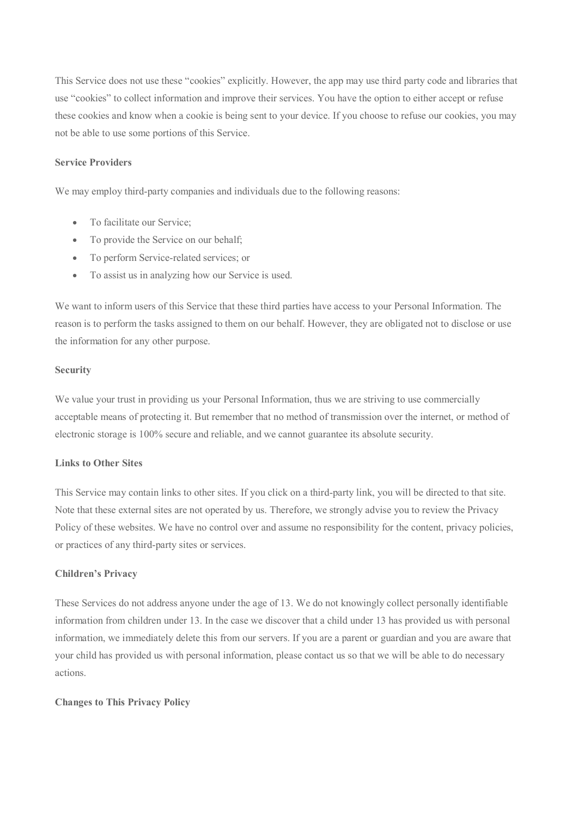This Service does not use these "cookies" explicitly. However, the app may use third party code and libraries that use "cookies" to collect information and improve their services. You have the option to either accept or refuse these cookies and know when a cookie is being sent to your device. If you choose to refuse our cookies, you may not be able to use some portions of this Service.

### **Service Providers**

We may employ third-party companies and individuals due to the following reasons:

- To facilitate our Service:
- To provide the Service on our behalf;
- To perform Service-related services; or
- To assist us in analyzing how our Service is used.

We want to inform users of this Service that these third parties have access to your Personal Information. The reason is to perform the tasks assigned to them on our behalf. However, they are obligated not to disclose or use the information for any other purpose.

#### **Security**

We value your trust in providing us your Personal Information, thus we are striving to use commercially acceptable means of protecting it. But remember that no method of transmission over the internet, or method of electronic storage is 100% secure and reliable, and we cannot guarantee its absolute security.

## **Links to Other Sites**

This Service may contain links to other sites. If you click on a third-party link, you will be directed to that site. Note that these external sites are not operated by us. Therefore, we strongly advise you to review the Privacy Policy of these websites. We have no control over and assume no responsibility for the content, privacy policies, or practices of any third-party sites or services.

#### **Children's Privacy**

These Services do not address anyone under the age of 13. We do not knowingly collect personally identifiable information from children under 13. In the case we discover that a child under 13 has provided us with personal information, we immediately delete this from our servers. If you are a parent or guardian and you are aware that your child has provided us with personal information, please contact us so that we will be able to do necessary actions.

#### **Changes to This Privacy Policy**